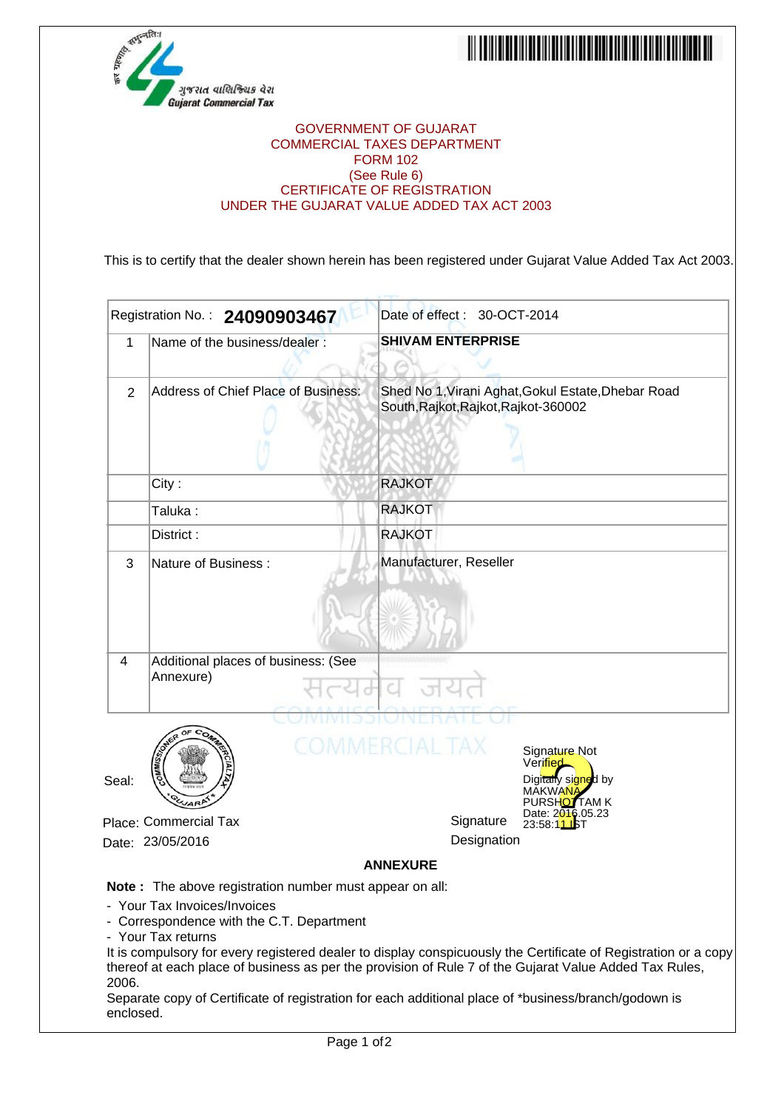



## GOVERNMENT OF GUJARAT COMMERCIAL TAXES DEPARTMENT FORM 102 (See Rule 6) CERTIFICATE OF REGISTRATION UNDER THE GUJARAT VALUE ADDED TAX ACT 2003

This is to certify that the dealer shown herein has been registered under Gujarat Value Added Tax Act 2003.

|                                                                          | Registration No.: 24090903467                                                                                                                                                                                | Date of effect: 30-OCT-2014          |                                                                                                                                                                                                                           |
|--------------------------------------------------------------------------|--------------------------------------------------------------------------------------------------------------------------------------------------------------------------------------------------------------|--------------------------------------|---------------------------------------------------------------------------------------------------------------------------------------------------------------------------------------------------------------------------|
| 1                                                                        | Name of the business/dealer:                                                                                                                                                                                 | <b>SHIVAM ENTERPRISE</b>             |                                                                                                                                                                                                                           |
| 2                                                                        | Address of Chief Place of Business:                                                                                                                                                                          | South, Rajkot, Rajkot, Rajkot-360002 | Shed No 1, Virani Aghat, Gokul Estate, Dhebar Road                                                                                                                                                                        |
| City:                                                                    |                                                                                                                                                                                                              | <b>RAJKOT</b>                        |                                                                                                                                                                                                                           |
| Taluka :                                                                 |                                                                                                                                                                                                              | <b>RAJKOT</b>                        |                                                                                                                                                                                                                           |
| District:                                                                |                                                                                                                                                                                                              | <b>RAJKOT</b>                        |                                                                                                                                                                                                                           |
| 3                                                                        | Nature of Business:                                                                                                                                                                                          | Manufacturer, Reseller               |                                                                                                                                                                                                                           |
| 4                                                                        | Additional places of business: (See<br>Annexure)                                                                                                                                                             |                                      |                                                                                                                                                                                                                           |
| Seal:                                                                    |                                                                                                                                                                                                              | COMMERCIAL TAX                       | Signature Not<br>Verified<br>Digitally signed by<br>MAKWA <mark>NA</mark><br>PURSHOTTAM K                                                                                                                                 |
| Place: Commercial Tax                                                    |                                                                                                                                                                                                              | Signature                            | Date: 2016.05.23<br>23:58:11                                                                                                                                                                                              |
| Designation<br>Date: 23/05/2016                                          |                                                                                                                                                                                                              |                                      |                                                                                                                                                                                                                           |
|                                                                          |                                                                                                                                                                                                              | <b>ANNEXURE</b>                      |                                                                                                                                                                                                                           |
| - Your Tax Invoices/Invoices<br>- Your Tax returns<br>2006.<br>enclosed. | Note: The above registration number must appear on all:<br>- Correspondence with the C.T. Department<br>Separate copy of Certificate of registration for each additional place of *business/branch/godown is |                                      | It is compulsory for every registered dealer to display conspicuously the Certificate of Registration or a copy<br>thereof at each place of business as per the provision of Rule 7 of the Gujarat Value Added Tax Rules, |
|                                                                          | Page 1 of 2                                                                                                                                                                                                  |                                      |                                                                                                                                                                                                                           |